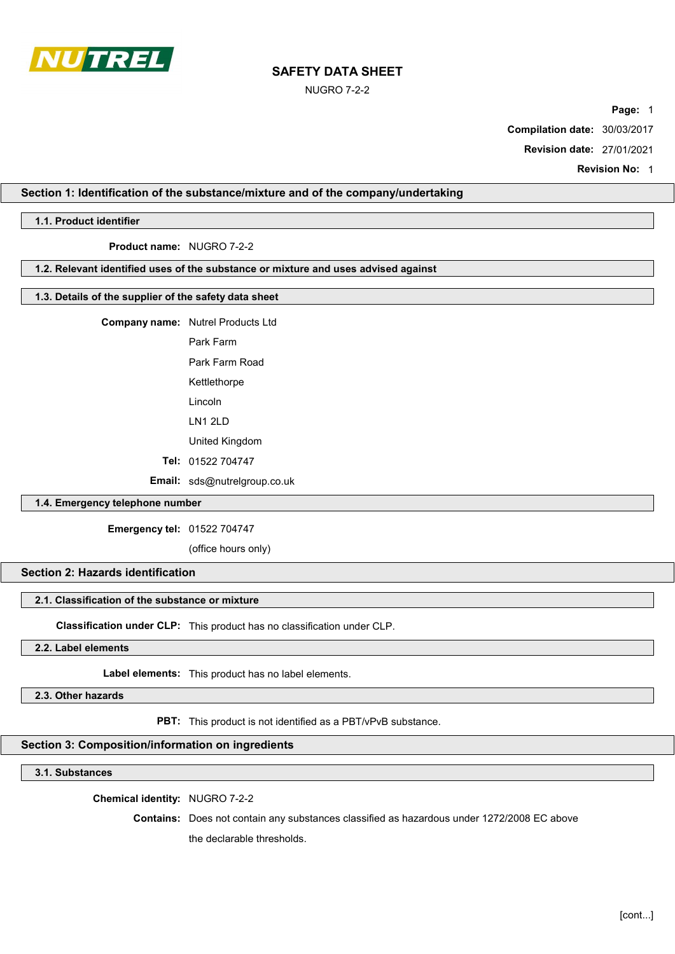

NUGRO 7-2-2

Page: 1

Compilation date: 30/03/2017

Revision date: 27/01/2021

Revision No: 1

# Section 1: Identification of the substance/mixture and of the company/undertaking

1.1. Product identifier

Product name: NUGRO 7-2-2

# 1.2. Relevant identified uses of the substance or mixture and uses advised against

## 1.3. Details of the supplier of the safety data sheet

Company name: Nutrel Products Ltd Park Farm Park Farm Road Kettlethorpe Lincoln LN1 2LD United Kingdom Tel: 01522 704747 Email: sds@nutrelgroup.co.uk

# 1.4. Emergency telephone number

Emergency tel: 01522 704747

(office hours only)

# Section 2: Hazards identification

### 2.1. Classification of the substance or mixture

Classification under CLP: This product has no classification under CLP.

2.2. Label elements

Label elements: This product has no label elements.

2.3. Other hazards

PBT: This product is not identified as a PBT/vPvB substance.

## Section 3: Composition/information on ingredients

### 3.1. Substances

Chemical identity: NUGRO 7-2-2

Contains: Does not contain any substances classified as hazardous under 1272/2008 EC above the declarable thresholds.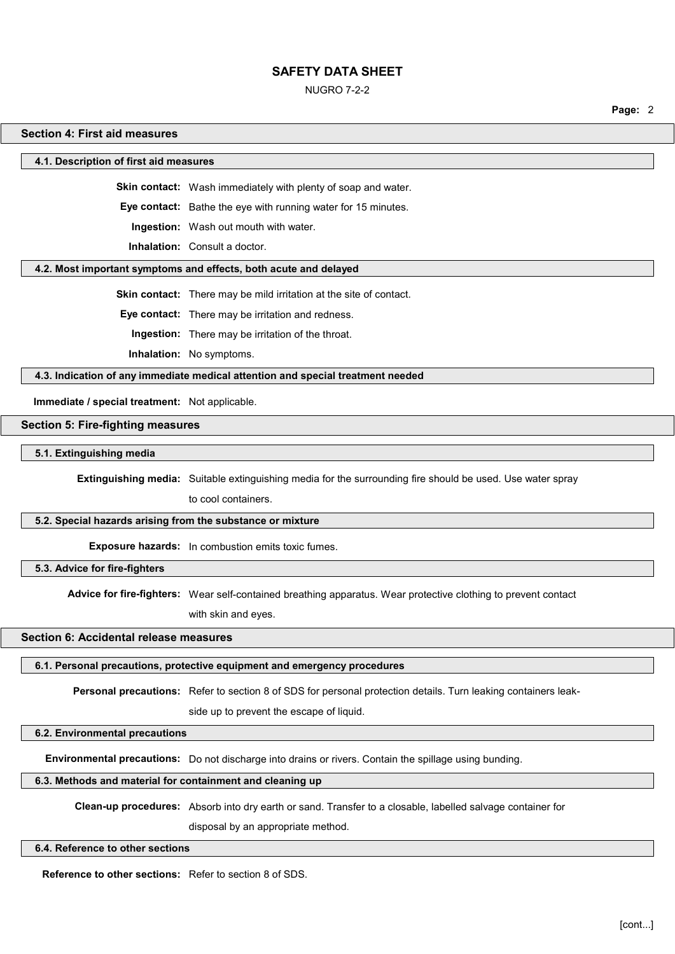NUGRO 7-2-2

Page: 2

### Section 4: First aid measures

4.1. Description of first aid measures

Skin contact: Wash immediately with plenty of soap and water.

Eye contact: Bathe the eye with running water for 15 minutes.

Ingestion: Wash out mouth with water.

Inhalation: Consult a doctor.

### 4.2. Most important symptoms and effects, both acute and delayed

Skin contact: There may be mild irritation at the site of contact.

Eye contact: There may be irritation and redness.

Ingestion: There may be irritation of the throat.

Inhalation: No symptoms.

4.3. Indication of any immediate medical attention and special treatment needed

Immediate / special treatment: Not applicable.

Section 5: Fire-fighting measures

5.1. Extinguishing media

Extinguishing media: Suitable extinguishing media for the surrounding fire should be used. Use water spray

to cool containers.

### 5.2. Special hazards arising from the substance or mixture

Exposure hazards: In combustion emits toxic fumes.

5.3. Advice for fire-fighters

Advice for fire-fighters: Wear self-contained breathing apparatus. Wear protective clothing to prevent contact

with skin and eyes.

## Section 6: Accidental release measures

### 6.1. Personal precautions, protective equipment and emergency procedures

Personal precautions: Refer to section 8 of SDS for personal protection details. Turn leaking containers leak-

side up to prevent the escape of liquid.

### 6.2. Environmental precautions

Environmental precautions: Do not discharge into drains or rivers. Contain the spillage using bunding.

### 6.3. Methods and material for containment and cleaning up

Clean-up procedures: Absorb into dry earth or sand. Transfer to a closable, labelled salvage container for

disposal by an appropriate method.

#### 6.4. Reference to other sections

Reference to other sections: Refer to section 8 of SDS.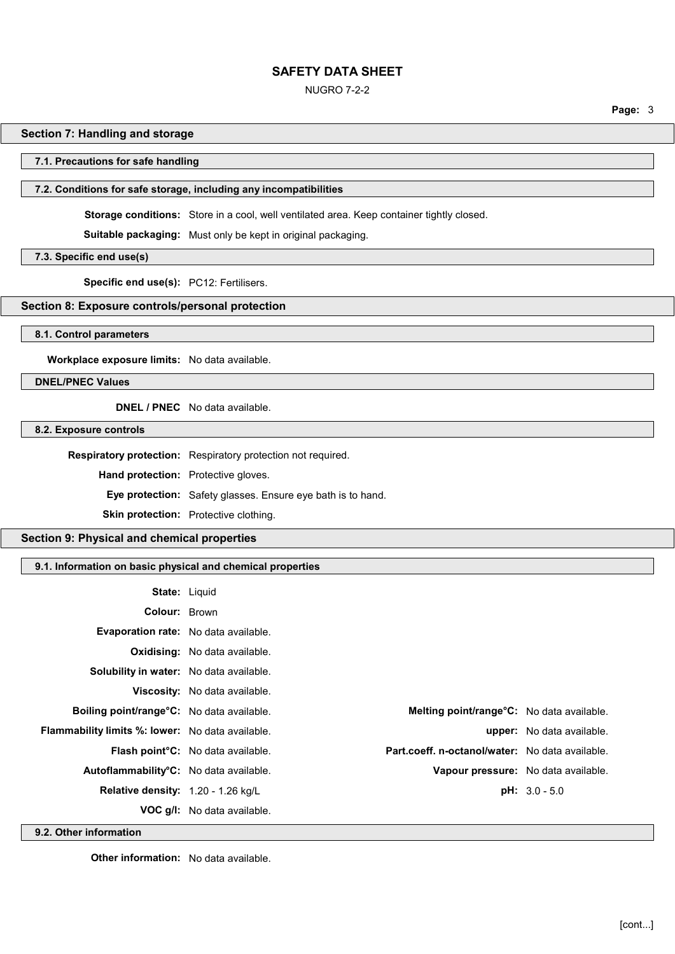NUGRO 7-2-2

Page: 3

## Section 7: Handling and storage

### 7.1. Precautions for safe handling

## 7.2. Conditions for safe storage, including any incompatibilities

Storage conditions: Store in a cool, well ventilated area. Keep container tightly closed.

Suitable packaging: Must only be kept in original packaging.

## 7.3. Specific end use(s)

Specific end use(s): PC12: Fertilisers.

# Section 8: Exposure controls/personal protection

8.1. Control parameters

Workplace exposure limits: No data available.

DNEL/PNEC Values

DNEL / PNEC No data available.

### 8.2. Exposure controls

Respiratory protection: Respiratory protection not required.

Hand protection: Protective gloves.

Eye protection: Safety glasses. Ensure eye bath is to hand.

Skin protection: Protective clothing.

## Section 9: Physical and chemical properties

### 9.1. Information on basic physical and chemical properties

|                                                         | <b>State: Liguid</b>                 |                                                 |                                  |
|---------------------------------------------------------|--------------------------------------|-------------------------------------------------|----------------------------------|
| <b>Colour: Brown</b>                                    |                                      |                                                 |                                  |
| Evaporation rate: No data available.                    |                                      |                                                 |                                  |
|                                                         | <b>Oxidising:</b> No data available. |                                                 |                                  |
| Solubility in water: No data available.                 |                                      |                                                 |                                  |
|                                                         | Viscosity: No data available.        |                                                 |                                  |
| Boiling point/range°C: No data available.               |                                      | Melting point/range°C: No data available.       |                                  |
| <b>Flammability limits %: lower:</b> No data available. |                                      |                                                 | <b>upper:</b> No data available. |
|                                                         | Flash point°C: No data available.    | Part.coeff. n-octanol/water: No data available. |                                  |
| <b>Autoflammability°C:</b> No data available.           |                                      | Vapour pressure: No data available.             |                                  |
| <b>Relative density:</b> 1.20 - 1.26 kg/L               |                                      |                                                 | $pH: 3.0 - 5.0$                  |
|                                                         | <b>VOC g/l:</b> No data available.   |                                                 |                                  |

9.2. Other information

Other information: No data available.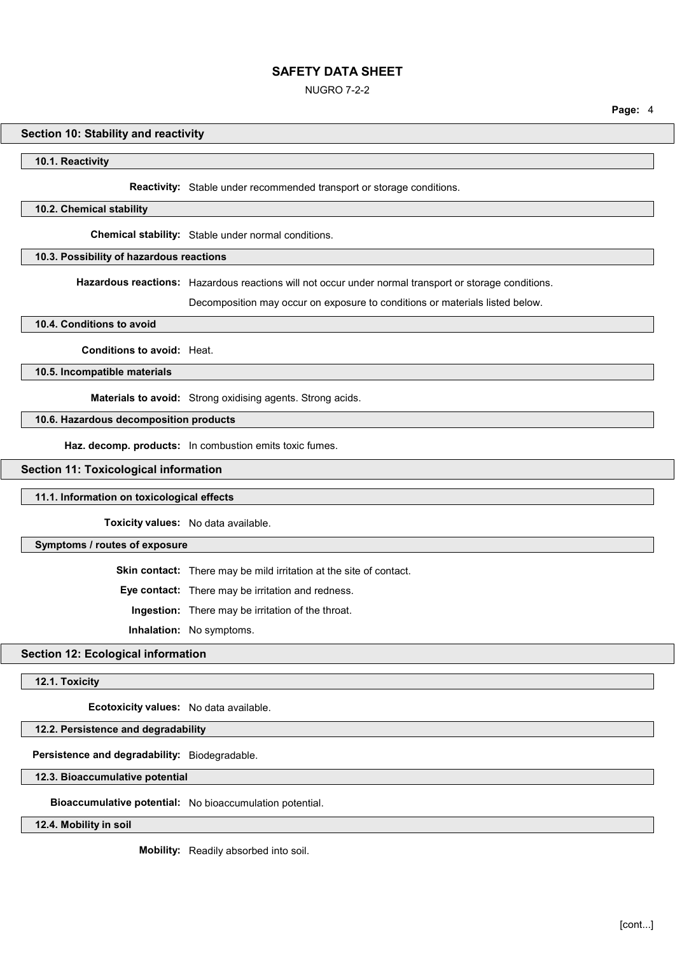NUGRO 7-2-2

### Section 10: Stability and reactivity

10.1. Reactivity

Reactivity: Stable under recommended transport or storage conditions.

### 10.2. Chemical stability

Chemical stability: Stable under normal conditions.

### 10.3. Possibility of hazardous reactions

Hazardous reactions: Hazardous reactions will not occur under normal transport or storage conditions.

Decomposition may occur on exposure to conditions or materials listed below.

#### 10.4. Conditions to avoid

Conditions to avoid: Heat.

10.5. Incompatible materials

Materials to avoid: Strong oxidising agents. Strong acids.

## 10.6. Hazardous decomposition products

Haz. decomp. products: In combustion emits toxic fumes.

## Section 11: Toxicological information

### 11.1. Information on toxicological effects

Toxicity values: No data available.

# Symptoms / routes of exposure

Skin contact: There may be mild irritation at the site of contact.

Eye contact: There may be irritation and redness.

Ingestion: There may be irritation of the throat.

Inhalation: No symptoms.

# Section 12: Ecological information

12.1. Toxicity

Ecotoxicity values: No data available.

## 12.2. Persistence and degradability

Persistence and degradability: Biodegradable.

12.3. Bioaccumulative potential

Bioaccumulative potential: No bioaccumulation potential.

12.4. Mobility in soil

Mobility: Readily absorbed into soil.

Page: 4